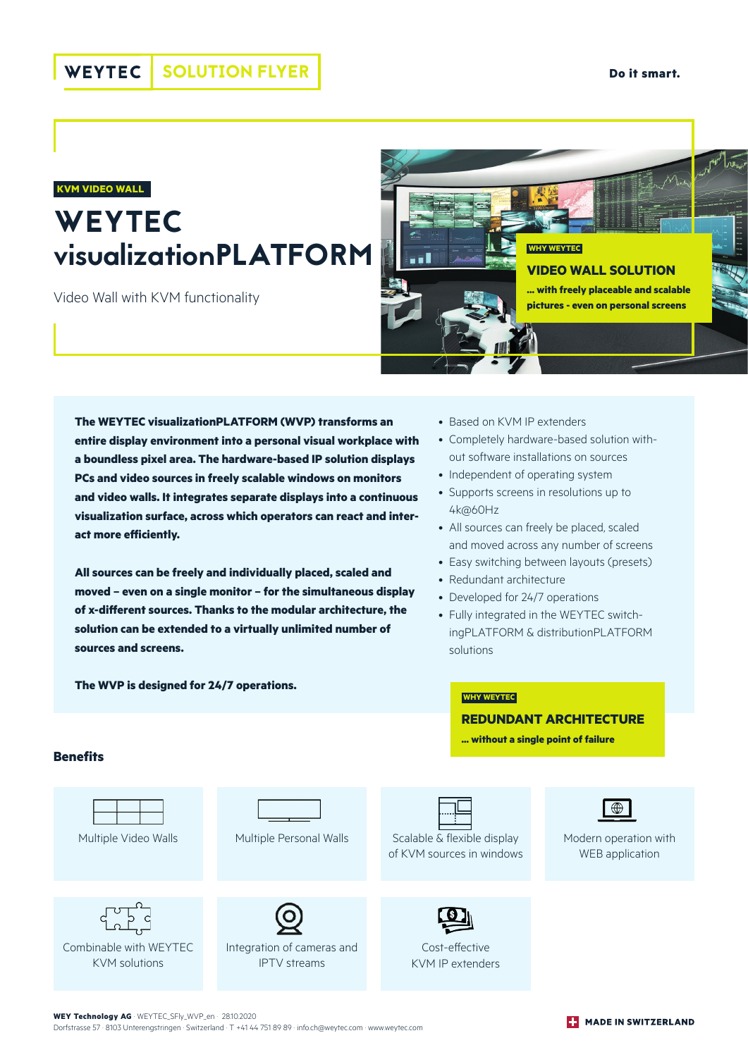#### **WEYTEC** SOLUTION FLYER

#### **KVM VIDEO WALL**

# **WEYTEC** visualizationPLATFORM

Video Wall with KVM functionality



**The WEYTEC visualizationPLATFORM (WVP) transforms an entire display environment into a personal visual workplace with a boundless pixel area. The hardware-based IP solution displays PCs and video sources in freely scalable windows on monitors and video walls. It integrates separate displays into a continuous visualization surface, across which operators can react and interact more efficiently.**

**All sources can be freely and individually placed, scaled and moved – even on a single monitor – for the simultaneous display of x-different sources. Thanks to the modular architecture, the solution can be extended to a virtually unlimited number of sources and screens.**

**The WVP is designed for 24/7 operations.** 

- Based on KVM IP extenders
- Completely hardware-based solution without software installations on sources
- Independent of operating system
- Supports screens in resolutions up to 4k@60Hz
- All sources can freely be placed, scaled and moved across any number of screens
- Easy switching between layouts (presets)
- Redundant architecture

**WHY WEYTEC**

- Developed for 24/7 operations
- Fully integrated in the WEYTEC switchingPLATFORM & distributionPLATFORM solutions

**REDUNDANT ARCHITECTURE ... without a single point of failure**

#### **Benefits**